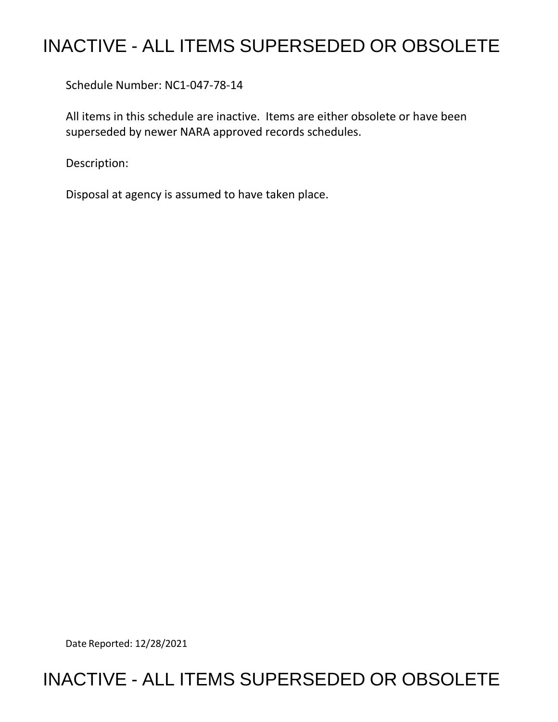## INACTIVE - ALL ITEMS SUPERSEDED OR OBSOLETE

Schedule Number: NC1-047-78-14

 All items in this schedule are inactive. Items are either obsolete or have been superseded by newer NARA approved records schedules.

Description:

Disposal at agency is assumed to have taken place.

Date Reported: 12/28/2021

## INACTIVE - ALL ITEMS SUPERSEDED OR OBSOLETE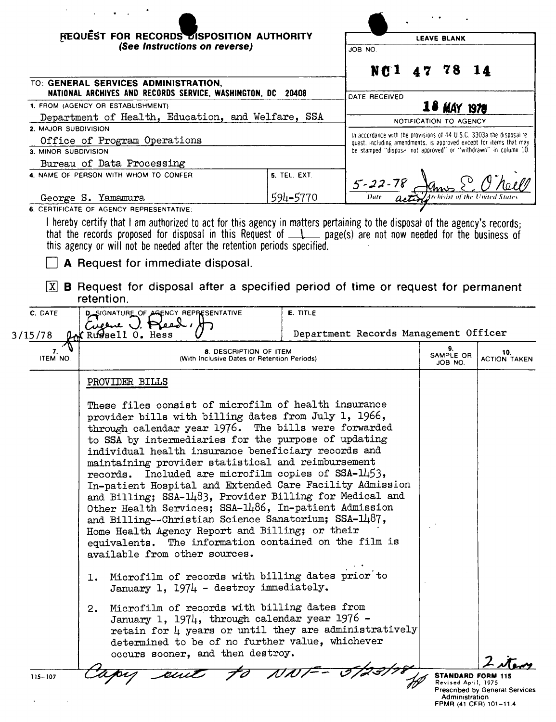| NG <sub>1</sub><br>TO: GENERAL SERVICES ADMINISTRATION,<br>NATIONAL ARCHIVES AND RECORDS SERVICE, WASHINGTON, DC 20408<br>DATE RECEIVED<br>10 MAY 1978<br>Department of Health, Education, and Welfare, SSA<br>NOTIFICATION TO AGENCY<br>In accordance with the provisions of 44 U.S.C. 3303a the disposal re-<br>Office of Program Operations<br>quest, including amendments, is approved except for items that may<br>be stamped "disposal not approved" or "withdrawn" in column 10.<br>Bureau of Data Processing<br>5. TEL. EXT.<br>$\frac{5-22-78}{\text{Date}}$<br>594-5770<br>George S. Yamamura<br>I hereby certify that I am authorized to act for this agency in matters pertaining to the disposal of the agency's records;<br>that the records proposed for disposal in this Request of $\Box$ page(s) are not now needed for the business of<br>this agency or will not be needed after the retention periods specified.<br>A Request for immediate disposal.<br><b>B</b> Request for disposal after a specified period of time or request for permanent<br> X <br>retention.<br><b>E. TITLE</b><br>D SIGNATURE OF AGENCY REPRESENTATIVE<br>Cugene U. Pread,<br>Department Records Management Officer<br>Russell 0. Hess<br>9.<br>7.<br>8. DESCRIPTION OF ITEM<br>SAMPLE OR<br>ITEM NO.<br>(With Inclusive Dates or Retention Periods)<br>JOB NO.<br>PROVIDER BILLS<br>These files consist of microfilm of health insurance<br>provider bills with billing dates from July 1, 1966,<br>through calendar year 1976. The bills were forwarded<br>to SSA by intermediaries for the purpose of updating<br>individual health insurance beneficiary records and<br>maintaining provider statistical and reimbursement<br>records. Included are microfilm copies of SSA-1453,<br>In-patient Hospital and Extended Care Facility Admission<br>and Billing; SSA-1483, Provider Billing for Medical and<br>Other Health Services; SSA-1486, In-patient Admission<br>and Billing--Christian Science Sanatorium; SSA-1487,<br>Home Health Agency Report and Billing; or their<br>equivalents. The information contained on the film is<br>available from other sources.<br>Microfilm of records with billing dates prior to<br>ı.<br>January 1, 1974 - destroy immediately.<br>Microfilm of records with billing dates from<br>2.<br>January 1, 1974, through calendar year 1976 -<br>retain for $\mu$ years or until they are administratively<br>determined to be of no further value, whichever | <b>FEQUEST FOR RECORDS DISPOSITION AUTHORITY</b><br>(See Instructions on reverse) |  | <b>LEAVE BLANK</b><br>JOB NO.<br>78<br>7<br>14 |  |                            |
|------------------------------------------------------------------------------------------------------------------------------------------------------------------------------------------------------------------------------------------------------------------------------------------------------------------------------------------------------------------------------------------------------------------------------------------------------------------------------------------------------------------------------------------------------------------------------------------------------------------------------------------------------------------------------------------------------------------------------------------------------------------------------------------------------------------------------------------------------------------------------------------------------------------------------------------------------------------------------------------------------------------------------------------------------------------------------------------------------------------------------------------------------------------------------------------------------------------------------------------------------------------------------------------------------------------------------------------------------------------------------------------------------------------------------------------------------------------------------------------------------------------------------------------------------------------------------------------------------------------------------------------------------------------------------------------------------------------------------------------------------------------------------------------------------------------------------------------------------------------------------------------------------------------------------------------------------------------------------------------------------------------------------------------------------------------------------------------------------------------------------------------------------------------------------------------------------------------------------------------------------------------------------------------------------------------------------------------------------------------------------------------------------------------------------------------------------------------------------------------------------|-----------------------------------------------------------------------------------|--|------------------------------------------------|--|----------------------------|
| 1. FROM (AGENCY OR ESTABLISHMENT)                                                                                                                                                                                                                                                                                                                                                                                                                                                                                                                                                                                                                                                                                                                                                                                                                                                                                                                                                                                                                                                                                                                                                                                                                                                                                                                                                                                                                                                                                                                                                                                                                                                                                                                                                                                                                                                                                                                                                                                                                                                                                                                                                                                                                                                                                                                                                                                                                                                                    |                                                                                   |  |                                                |  |                            |
|                                                                                                                                                                                                                                                                                                                                                                                                                                                                                                                                                                                                                                                                                                                                                                                                                                                                                                                                                                                                                                                                                                                                                                                                                                                                                                                                                                                                                                                                                                                                                                                                                                                                                                                                                                                                                                                                                                                                                                                                                                                                                                                                                                                                                                                                                                                                                                                                                                                                                                      |                                                                                   |  |                                                |  |                            |
| 2. MAJOR SUBDIVISION                                                                                                                                                                                                                                                                                                                                                                                                                                                                                                                                                                                                                                                                                                                                                                                                                                                                                                                                                                                                                                                                                                                                                                                                                                                                                                                                                                                                                                                                                                                                                                                                                                                                                                                                                                                                                                                                                                                                                                                                                                                                                                                                                                                                                                                                                                                                                                                                                                                                                 |                                                                                   |  |                                                |  |                            |
|                                                                                                                                                                                                                                                                                                                                                                                                                                                                                                                                                                                                                                                                                                                                                                                                                                                                                                                                                                                                                                                                                                                                                                                                                                                                                                                                                                                                                                                                                                                                                                                                                                                                                                                                                                                                                                                                                                                                                                                                                                                                                                                                                                                                                                                                                                                                                                                                                                                                                                      |                                                                                   |  |                                                |  |                            |
| 3. MINOR SUBDIVISION<br>4. NAME OF PERSON WITH WHOM TO CONFER<br><b>6. CERTIFICATE OF AGENCY REPRESENTATIVE</b><br>C. DATE<br>3/15/78                                                                                                                                                                                                                                                                                                                                                                                                                                                                                                                                                                                                                                                                                                                                                                                                                                                                                                                                                                                                                                                                                                                                                                                                                                                                                                                                                                                                                                                                                                                                                                                                                                                                                                                                                                                                                                                                                                                                                                                                                                                                                                                                                                                                                                                                                                                                                                |                                                                                   |  |                                                |  |                            |
|                                                                                                                                                                                                                                                                                                                                                                                                                                                                                                                                                                                                                                                                                                                                                                                                                                                                                                                                                                                                                                                                                                                                                                                                                                                                                                                                                                                                                                                                                                                                                                                                                                                                                                                                                                                                                                                                                                                                                                                                                                                                                                                                                                                                                                                                                                                                                                                                                                                                                                      |                                                                                   |  |                                                |  |                            |
|                                                                                                                                                                                                                                                                                                                                                                                                                                                                                                                                                                                                                                                                                                                                                                                                                                                                                                                                                                                                                                                                                                                                                                                                                                                                                                                                                                                                                                                                                                                                                                                                                                                                                                                                                                                                                                                                                                                                                                                                                                                                                                                                                                                                                                                                                                                                                                                                                                                                                                      |                                                                                   |  |                                                |  |                            |
|                                                                                                                                                                                                                                                                                                                                                                                                                                                                                                                                                                                                                                                                                                                                                                                                                                                                                                                                                                                                                                                                                                                                                                                                                                                                                                                                                                                                                                                                                                                                                                                                                                                                                                                                                                                                                                                                                                                                                                                                                                                                                                                                                                                                                                                                                                                                                                                                                                                                                                      |                                                                                   |  |                                                |  |                            |
|                                                                                                                                                                                                                                                                                                                                                                                                                                                                                                                                                                                                                                                                                                                                                                                                                                                                                                                                                                                                                                                                                                                                                                                                                                                                                                                                                                                                                                                                                                                                                                                                                                                                                                                                                                                                                                                                                                                                                                                                                                                                                                                                                                                                                                                                                                                                                                                                                                                                                                      |                                                                                   |  |                                                |  |                            |
|                                                                                                                                                                                                                                                                                                                                                                                                                                                                                                                                                                                                                                                                                                                                                                                                                                                                                                                                                                                                                                                                                                                                                                                                                                                                                                                                                                                                                                                                                                                                                                                                                                                                                                                                                                                                                                                                                                                                                                                                                                                                                                                                                                                                                                                                                                                                                                                                                                                                                                      |                                                                                   |  |                                                |  |                            |
|                                                                                                                                                                                                                                                                                                                                                                                                                                                                                                                                                                                                                                                                                                                                                                                                                                                                                                                                                                                                                                                                                                                                                                                                                                                                                                                                                                                                                                                                                                                                                                                                                                                                                                                                                                                                                                                                                                                                                                                                                                                                                                                                                                                                                                                                                                                                                                                                                                                                                                      |                                                                                   |  |                                                |  |                            |
|                                                                                                                                                                                                                                                                                                                                                                                                                                                                                                                                                                                                                                                                                                                                                                                                                                                                                                                                                                                                                                                                                                                                                                                                                                                                                                                                                                                                                                                                                                                                                                                                                                                                                                                                                                                                                                                                                                                                                                                                                                                                                                                                                                                                                                                                                                                                                                                                                                                                                                      |                                                                                   |  |                                                |  |                            |
|                                                                                                                                                                                                                                                                                                                                                                                                                                                                                                                                                                                                                                                                                                                                                                                                                                                                                                                                                                                                                                                                                                                                                                                                                                                                                                                                                                                                                                                                                                                                                                                                                                                                                                                                                                                                                                                                                                                                                                                                                                                                                                                                                                                                                                                                                                                                                                                                                                                                                                      |                                                                                   |  |                                                |  | 10.<br><b>ACTION TAKEN</b> |
| occurs sooner, and then destroy.                                                                                                                                                                                                                                                                                                                                                                                                                                                                                                                                                                                                                                                                                                                                                                                                                                                                                                                                                                                                                                                                                                                                                                                                                                                                                                                                                                                                                                                                                                                                                                                                                                                                                                                                                                                                                                                                                                                                                                                                                                                                                                                                                                                                                                                                                                                                                                                                                                                                     |                                                                                   |  |                                                |  |                            |